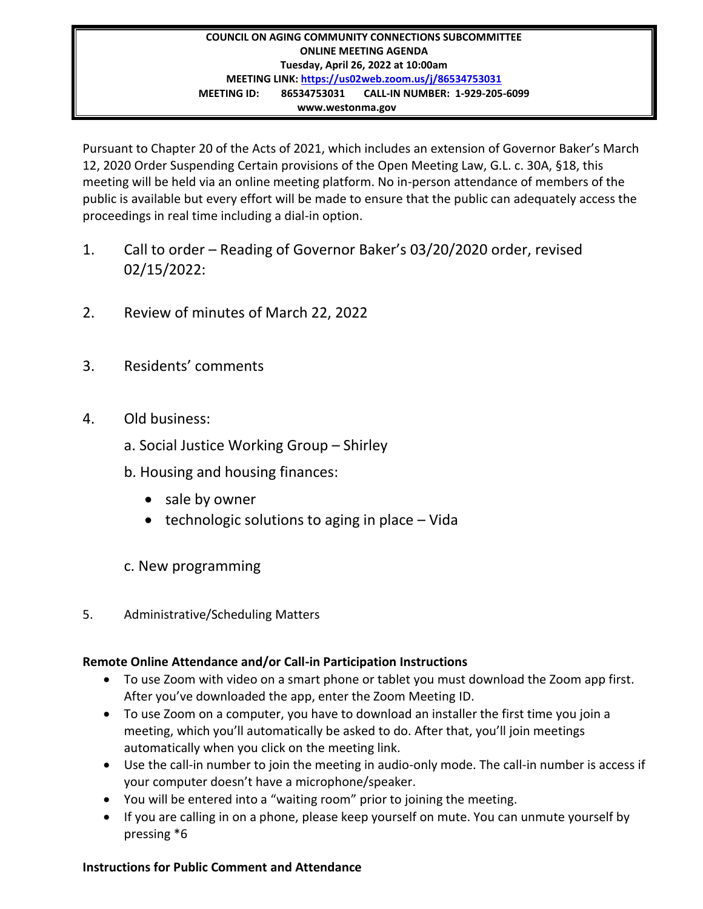## **COUNCIL ON AGING COMMUNITY CONNECTIONS SUBCOMMITTEE ONLINE MEETING AGENDA Tuesday, April 26, 2022 at 10:00am MEETING LINK:<https://us02web.zoom.us/j/86534753031> MEETING ID: 86534753031 CALL-IN NUMBER: 1-929-205-6099 www.westonma.gov**

Pursuant to Chapter 20 of the Acts of 2021, which includes an extension of Governor Baker's March 12, 2020 Order Suspending Certain provisions of the Open Meeting Law, G.L. c. 30A, §18, this meeting will be held via an online meeting platform. No in-person attendance of members of the public is available but every effort will be made to ensure that the public can adequately access the proceedings in real time including a dial-in option.

- 1. Call to order Reading of Governor Baker's 03/20/2020 order, revised 02/15/2022:
- 2. Review of minutes of March 22, 2022
- 3. Residents' comments
- 4. Old business:
	- a. Social Justice Working Group Shirley
	- b. Housing and housing finances:
		- sale by owner
		- technologic solutions to aging in place Vida
	- c. New programming
- 5. Administrative/Scheduling Matters

## **Remote Online Attendance and/or Call-in Participation Instructions**

- To use Zoom with video on a smart phone or tablet you must download the Zoom app first. After you've downloaded the app, enter the Zoom Meeting ID.
- To use Zoom on a computer, you have to download an installer the first time you join a meeting, which you'll automatically be asked to do. After that, you'll join meetings automatically when you click on the meeting link.
- Use the call-in number to join the meeting in audio-only mode. The call-in number is access if your computer doesn't have a microphone/speaker.
- You will be entered into a "waiting room" prior to joining the meeting.
- If you are calling in on a phone, please keep yourself on mute. You can unmute yourself by pressing \*6

## **Instructions for Public Comment and Attendance**